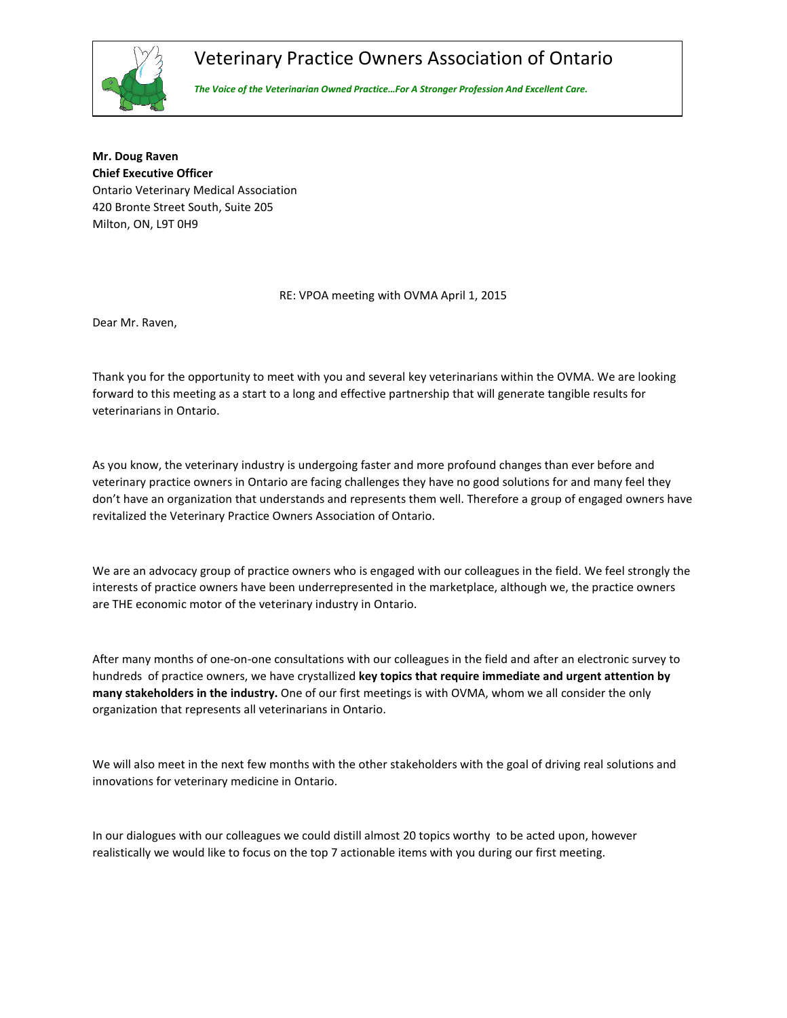## Veterinary Practice Owners Association of Ontario



The Voice of the Veterinarian Owned Practice…For A Stronger Profession And Excellent Care.

Mr. Doug Raven Chief Executive Officer Ontario Veterinary Medical Association 420 Bronte Street South, Suite 205 Milton, ON, L9T 0H9

RE: VPOA meeting with OVMA April 1, 2015

Dear Mr. Raven,

Thank you for the opportunity to meet with you and several key veterinarians within the OVMA. We are looking forward to this meeting as a start to a long and effective partnership that will generate tangible results for veterinarians in Ontario.

As you know, the veterinary industry is undergoing faster and more profound changes than ever before and veterinary practice owners in Ontario are facing challenges they have no good solutions for and many feel they don't have an organization that understands and represents them well. Therefore a group of engaged owners have revitalized the Veterinary Practice Owners Association of Ontario.

We are an advocacy group of practice owners who is engaged with our colleagues in the field. We feel strongly the interests of practice owners have been underrepresented in the marketplace, although we, the practice owners are THE economic motor of the veterinary industry in Ontario.

After many months of one-on-one consultations with our colleagues in the field and after an electronic survey to hundreds of practice owners, we have crystallized key topics that require immediate and urgent attention by many stakeholders in the industry. One of our first meetings is with OVMA, whom we all consider the only organization that represents all veterinarians in Ontario.

We will also meet in the next few months with the other stakeholders with the goal of driving real solutions and innovations for veterinary medicine in Ontario.

In our dialogues with our colleagues we could distill almost 20 topics worthy to be acted upon, however realistically we would like to focus on the top 7 actionable items with you during our first meeting.